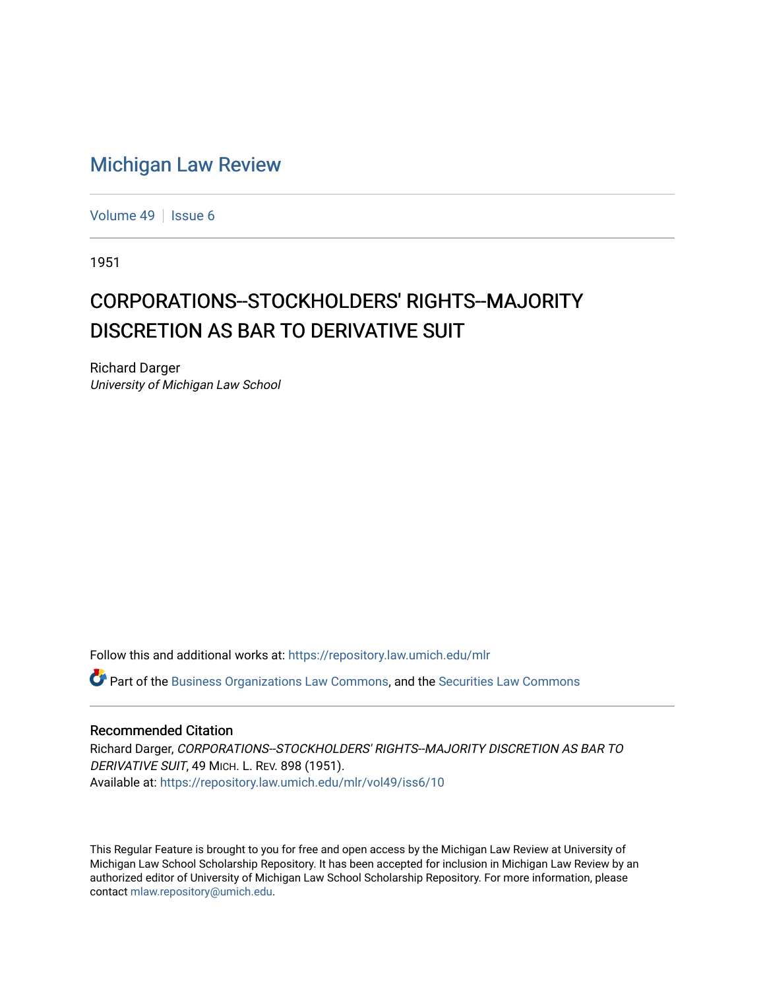## [Michigan Law Review](https://repository.law.umich.edu/mlr)

[Volume 49](https://repository.law.umich.edu/mlr/vol49) | [Issue 6](https://repository.law.umich.edu/mlr/vol49/iss6)

1951

## CORPORATIONS--STOCKHOLDERS' RIGHTS--MAJORITY DISCRETION AS BAR TO DERIVATIVE SUIT

Richard Darger University of Michigan Law School

Follow this and additional works at: [https://repository.law.umich.edu/mlr](https://repository.law.umich.edu/mlr?utm_source=repository.law.umich.edu%2Fmlr%2Fvol49%2Fiss6%2F10&utm_medium=PDF&utm_campaign=PDFCoverPages) 

 $\bullet$  Part of the [Business Organizations Law Commons](https://network.bepress.com/hgg/discipline/900?utm_source=repository.law.umich.edu%2Fmlr%2Fvol49%2Fiss6%2F10&utm_medium=PDF&utm_campaign=PDFCoverPages), and the Securities Law Commons

## Recommended Citation

Richard Darger, CORPORATIONS--STOCKHOLDERS' RIGHTS--MAJORITY DISCRETION AS BAR TO DERIVATIVE SUIT, 49 MICH. L. REV. 898 (1951). Available at: [https://repository.law.umich.edu/mlr/vol49/iss6/10](https://repository.law.umich.edu/mlr/vol49/iss6/10?utm_source=repository.law.umich.edu%2Fmlr%2Fvol49%2Fiss6%2F10&utm_medium=PDF&utm_campaign=PDFCoverPages) 

This Regular Feature is brought to you for free and open access by the Michigan Law Review at University of Michigan Law School Scholarship Repository. It has been accepted for inclusion in Michigan Law Review by an authorized editor of University of Michigan Law School Scholarship Repository. For more information, please contact [mlaw.repository@umich.edu](mailto:mlaw.repository@umich.edu).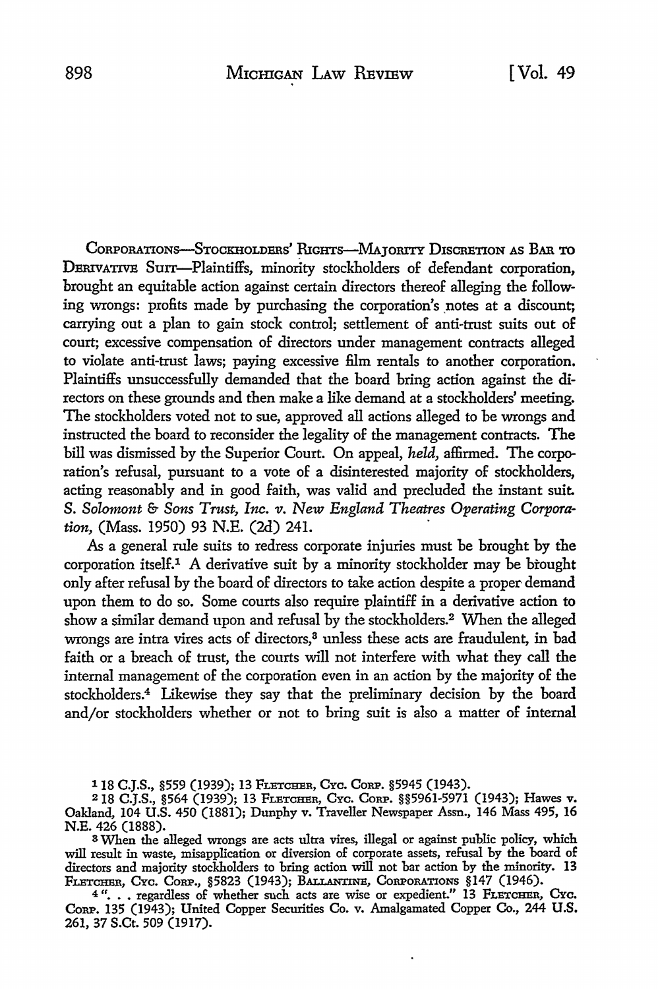CORPORATIONS-STOCKHOLDERS' RIGHTS-MAJORITY DISCRETION AS BAR TO DERIVATIVB Surr-Plaintiffs, minority stockholders of defendant corporation, brought an equitable action against certain directors thereof alleging the following wrongs: profits made by purchasing the corporation's notes at a discount; carrying out a plan to gain stock control; settlement of anti-trust suits out of court; excessive compensation of directors under management contracts alleged to violate anti-trust laws; paying excessive film rentals to another corporation. Plaintiffs unsuccessfully demanded that the board bring action against the directors on these grounds and then make a like demand at a stockholders' meeting. The stockholders voted not to sue, approved all actions alleged to be wrongs and instructed the board to reconsider the legality of the management contracts. The bill was dismissed by the Superior Court. On appeal, *held,* affirmed. The corporation's refusal, pursuant to a vote of a disinterested majority of stockholders, acting reasonably and in good faith, was valid and precluded the instant suit. S. *Solomont* & *Sons Trust, Inc. v. New England Theatres Operating Corporation,* (Mass. 1950) 93 N.E. (2d) 241. ·

As a general rule suits to redress corporate injuries must be brought by the corporation itself.1 A derivative suit by a minority stockholder may be brought only after refusal by the board of directors to take action despite a proper demand upon them to do so. Some courts also require plaintiff in a derivative action to show a similar demand upon and refusal by the stockholders.2 When the alleged wrongs are intra vires acts of directors,<sup>3</sup> unless these acts are fraudulent, in bad faith or a breach of trust, the courts will not interfere with what they call the internal management of the corporation even in an action by the majority of the stockholders.4 Likewise they say that the preliminary decision by the board and/or stockholders whether or not to bring suit is also a matter of internal

118 C.J.S., §559 (1939); 13 FLETCHER, CYc. CoRP. §5945 (1943).

<sup>4</sup> "... regardless of whether such acts are wise or expedient." 13 FLETCHER, CYC. CoRP. 135 (1943); United Copper Securities Co. v. Amalgamated Copper Co., 244 U.S. 261, 37 S.Ct. 509 (1917).

<sup>2 18</sup> C.J.S., §564 (1939); 13 FLETCHER, CYc. CoRP. §§5961-5971 (1943); Hawes v. Oakland, 104 U.S. 450 (1881); Dunphy v. Traveller Newspaper Assn., 146 Mass 495, 16 N.E. 426 (1888).

s When the alleged wrongs are acts ultra vires, illegal or against public policy, which will result in waste, misapplication or diversion of corporate assets, refusal by the board *oE*  directors and majority stockholders to bring action will not bar action by the minority. **13**  FLETCHER, CYc. CoRP., §5823 (1943); BALLANTINE, CoRPORATIONS §147 (1946).